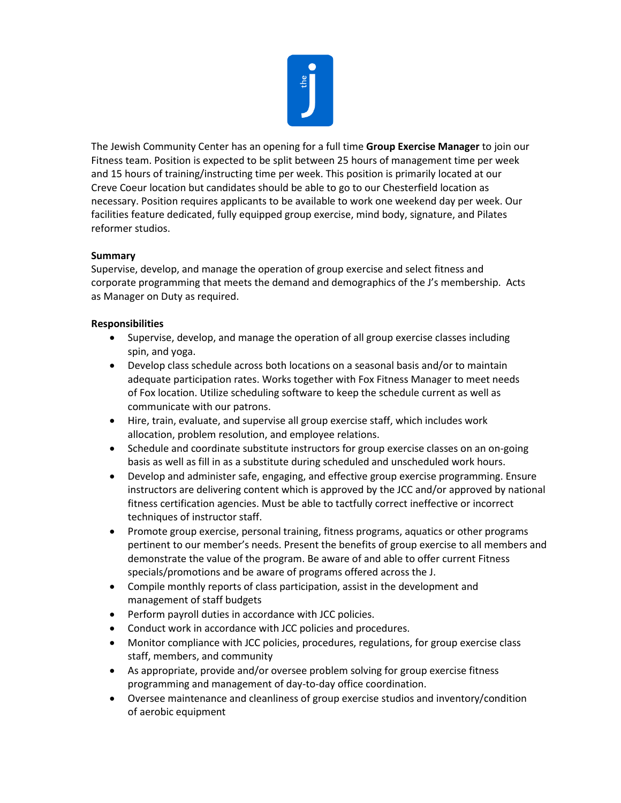

The Jewish Community Center has an opening for a full time **Group Exercise Manager** to join our Fitness team. Position is expected to be split between 25 hours of management time per week and 15 hours of training/instructing time per week. This position is primarily located at our Creve Coeur location but candidates should be able to go to our Chesterfield location as necessary. Position requires applicants to be available to work one weekend day per week. Our facilities feature dedicated, fully equipped group exercise, mind body, signature, and Pilates reformer studios.

## **Summary**

Supervise, develop, and manage the operation of group exercise and select fitness and corporate programming that meets the demand and demographics of the J's membership. Acts as Manager on Duty as required.

## **Responsibilities**

- Supervise, develop, and manage the operation of all group exercise classes including spin, and yoga.
- Develop class schedule across both locations on a seasonal basis and/or to maintain adequate participation rates. Works together with Fox Fitness Manager to meet needs of Fox location. Utilize scheduling software to keep the schedule current as well as communicate with our patrons.
- Hire, train, evaluate, and supervise all group exercise staff, which includes work allocation, problem resolution, and employee relations.
- Schedule and coordinate substitute instructors for group exercise classes on an on-going basis as well as fill in as a substitute during scheduled and unscheduled work hours.
- Develop and administer safe, engaging, and effective group exercise programming. Ensure instructors are delivering content which is approved by the JCC and/or approved by national fitness certification agencies. Must be able to tactfully correct ineffective or incorrect techniques of instructor staff.
- Promote group exercise, personal training, fitness programs, aquatics or other programs pertinent to our member's needs. Present the benefits of group exercise to all members and demonstrate the value of the program. Be aware of and able to offer current Fitness specials/promotions and be aware of programs offered across the J.
- Compile monthly reports of class participation, assist in the development and management of staff budgets
- Perform payroll duties in accordance with JCC policies.
- Conduct work in accordance with JCC policies and procedures.
- Monitor compliance with JCC policies, procedures, regulations, for group exercise class staff, members, and community
- As appropriate, provide and/or oversee problem solving for group exercise fitness programming and management of day-to-day office coordination.
- Oversee maintenance and cleanliness of group exercise studios and inventory/condition of aerobic equipment